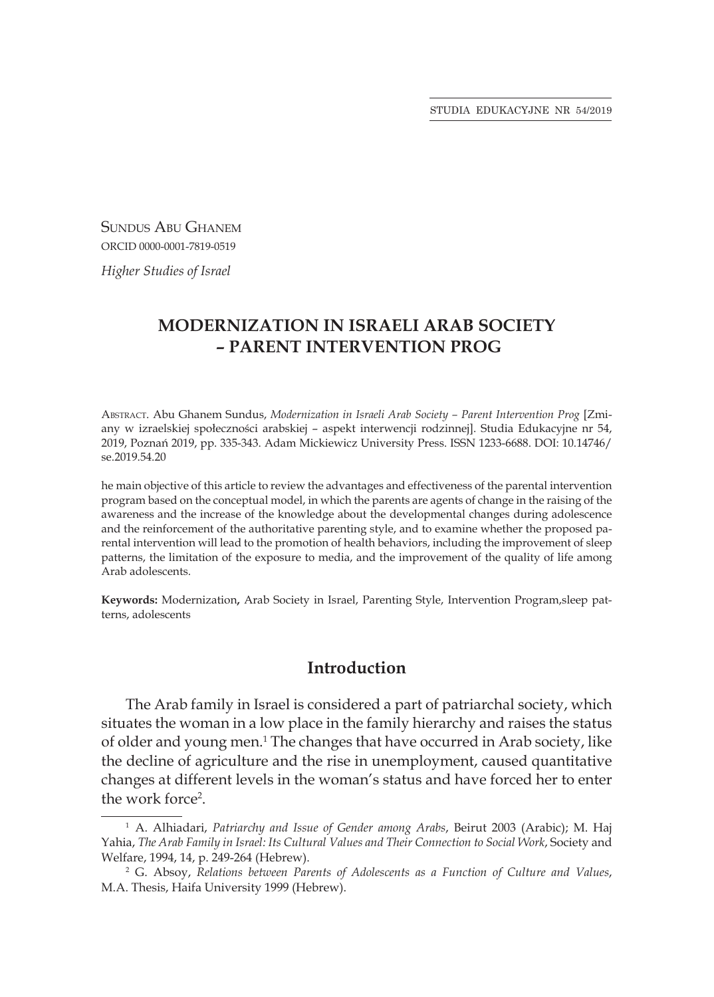Sundus Abu Ghanem ORCID 0000-0001-7819-0519

*Higher Studies of Israel*

# **MODERNIZATION IN ISRAELI ARAB SOCIETY – PARENT INTERVENTION PROG**

Abstract. Abu Ghanem Sundus, *Modernization in Israeli Arab Society – Parent Intervention Prog* [Zmiany w izraelskiej społeczności arabskiej – aspekt interwencji rodzinnej]. Studia Edukacyjne nr 54, 2019, Poznań 2019, pp. 335-343. Adam Mickiewicz University Press. ISSN 1233-6688. DOI: 10.14746/ se.2019.54.20

he main objective of this article to review the advantages and effectiveness of the parental intervention program based on the conceptual model, in which the parents are agents of change in the raising of the awareness and the increase of the knowledge about the developmental changes during adolescence and the reinforcement of the authoritative parenting style, and to examine whether the proposed parental intervention will lead to the promotion of health behaviors, including the improvement of sleep patterns, the limitation of the exposure to media, and the improvement of the quality of life among Arab adolescents.

**Keywords:** Modernization**,** Arab Society in Israel, Parenting Style, Intervention Program,sleep patterns, adolescents

## **Introduction**

The Arab family in Israel is considered a part of patriarchal society, which situates the woman in a low place in the family hierarchy and raises the status of older and young men.<sup>1</sup> The changes that have occurred in Arab society, like the decline of agriculture and the rise in unemployment, caused quantitative changes at different levels in the woman's status and have forced her to enter the work force<sup>2</sup>.

<sup>1</sup> A. Alhiadari, *Patriarchy and Issue of Gender among Arabs*, Beirut 2003 (Arabic); M. Haj Yahia, *The Arab Family in Israel: Its Cultural Values and Their Connection to Social Work*, Society and Welfare, 1994, 14, p. 249-264 (Hebrew).

<sup>2</sup> G. Absoy, *Relations between Parents of Adolescents as a Function of Culture and Values*, M.A. Thesis, Haifa University 1999 (Hebrew).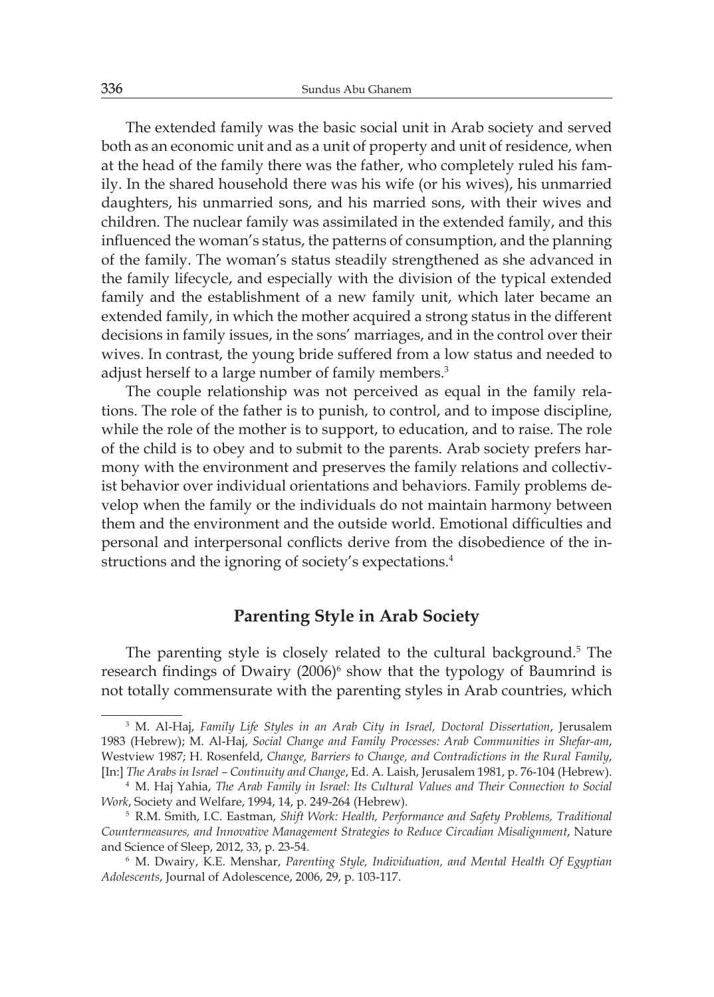The extended family was the basic social unit in Arab society and served both as an economic unit and as a unit of property and unit of residence, when at the head of the family there was the father, who completely ruled his family. In the shared household there was his wife (or his wives), his unmarried daughters, his unmarried sons, and his married sons, with their wives and children. The nuclear family was assimilated in the extended family, and this influenced the woman's status, the patterns of consumption, and the planning of the family. The woman's status steadily strengthened as she advanced in the family lifecycle, and especially with the division of the typical extended family and the establishment of a new family unit, which later became an extended family, in which the mother acquired a strong status in the different decisions in family issues, in the sons' marriages, and in the control over their wives. In contrast, the young bride suffered from a low status and needed to adjust herself to a large number of family members.<sup>3</sup>

The couple relationship was not perceived as equal in the family relations. The role of the father is to punish, to control, and to impose discipline, while the role of the mother is to support, to education, and to raise. The role of the child is to obey and to submit to the parents. Arab society prefers harmony with the environment and preserves the family relations and collectivist behavior over individual orientations and behaviors. Family problems develop when the family or the individuals do not maintain harmony between them and the environment and the outside world. Emotional difficulties and personal and interpersonal conflicts derive from the disobedience of the instructions and the ignoring of society's expectations.<sup>4</sup>

#### **Parenting Style in Arab Society**

The parenting style is closely related to the cultural background.<sup>5</sup> The research findings of Dwairy (2006)<sup>6</sup> show that the typology of Baumrind is not totally commensurate with the parenting styles in Arab countries, which

<sup>3</sup> M. Al-Haj, *Family Life Styles in an Arab City in Israel, Doctoral Dissertation*, Jerusalem 1983 (Hebrew); M. Al-Haj, *Social Change and Family Processes: Arab Communities in Shefar-am*, Westview 1987; H. Rosenfeld, *Change, Barriers to Change, and Contradictions in the Rural Family*, [In:] *The Arabs in Israel – Continuity and Change*, Ed. A. Laish, Jerusalem 1981, p. 76-104 (Hebrew).

<sup>4</sup> M. Haj Yahia, *The Arab Family in Israel: Its Cultural Values and Their Connection to Social Work*, Society and Welfare, 1994, 14, p. 249-264 (Hebrew).

<sup>5</sup> R.M. Smith, I.C. Eastman, *Shift Work: Health, Performance and Safety Problems, Traditional Countermeasures, and Innovative Management Strategies to Reduce Circadian Misalignment*, Nature and Science of Sleep, 2012, 33, p. 23-54.

<sup>6</sup> M. Dwairy, K.E. Menshar, *Parenting Style, Individuation, and Mental Health Of Egyptian Adolescents*, Journal of Adolescence, 2006, 29, p. 103-117.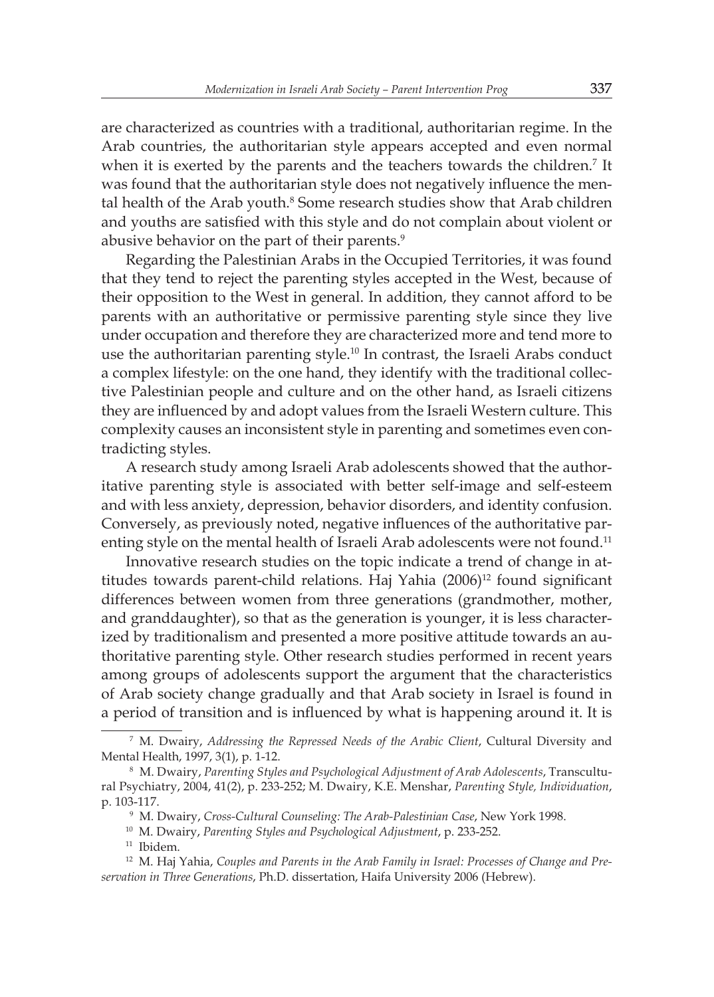are characterized as countries with a traditional, authoritarian regime. In the Arab countries, the authoritarian style appears accepted and even normal when it is exerted by the parents and the teachers towards the children.<sup>7</sup> It was found that the authoritarian style does not negatively influence the mental health of the Arab youth.8 Some research studies show that Arab children and youths are satisfied with this style and do not complain about violent or abusive behavior on the part of their parents.<sup>9</sup>

Regarding the Palestinian Arabs in the Occupied Territories, it was found that they tend to reject the parenting styles accepted in the West, because of their opposition to the West in general. In addition, they cannot afford to be parents with an authoritative or permissive parenting style since they live under occupation and therefore they are characterized more and tend more to use the authoritarian parenting style.<sup>10</sup> In contrast, the Israeli Arabs conduct a complex lifestyle: on the one hand, they identify with the traditional collective Palestinian people and culture and on the other hand, as Israeli citizens they are influenced by and adopt values from the Israeli Western culture. This complexity causes an inconsistent style in parenting and sometimes even contradicting styles.

A research study among Israeli Arab adolescents showed that the authoritative parenting style is associated with better self-image and self-esteem and with less anxiety, depression, behavior disorders, and identity confusion. Conversely, as previously noted, negative influences of the authoritative parenting style on the mental health of Israeli Arab adolescents were not found.<sup>11</sup>

Innovative research studies on the topic indicate a trend of change in attitudes towards parent-child relations. Haj Yahia  $(2006)^{12}$  found significant differences between women from three generations (grandmother, mother, and granddaughter), so that as the generation is younger, it is less characterized by traditionalism and presented a more positive attitude towards an authoritative parenting style. Other research studies performed in recent years among groups of adolescents support the argument that the characteristics of Arab society change gradually and that Arab society in Israel is found in a period of transition and is influenced by what is happening around it. It is

<sup>7</sup> M. Dwairy, *Addressing the Repressed Needs of the Arabic Client*, Cultural Diversity and Mental Health, 1997, 3(1), p. 1-12.

<sup>8</sup> M. Dwairy, *Parenting Styles and Psychological Adjustment of Arab Adolescents*, Transcultural Psychiatry, 2004, 41(2), p. 233-252; M. Dwairy, K.E. Menshar, *Parenting Style, Individuation*, p. 103-117.

<sup>9</sup> M. Dwairy, *Cross-Cultural Counseling: The Arab-Palestinian Case*, New York 1998.

<sup>10</sup> M. Dwairy, *Parenting Styles and Psychological Adjustment*, p. 233-252.

<sup>&</sup>lt;sup>11</sup> Ibidem.

<sup>12</sup> M. Haj Yahia, *Couples and Parents in the Arab Family in Israel: Processes of Change and Preservation in Three Generations*, Ph.D. dissertation, Haifa University 2006 (Hebrew).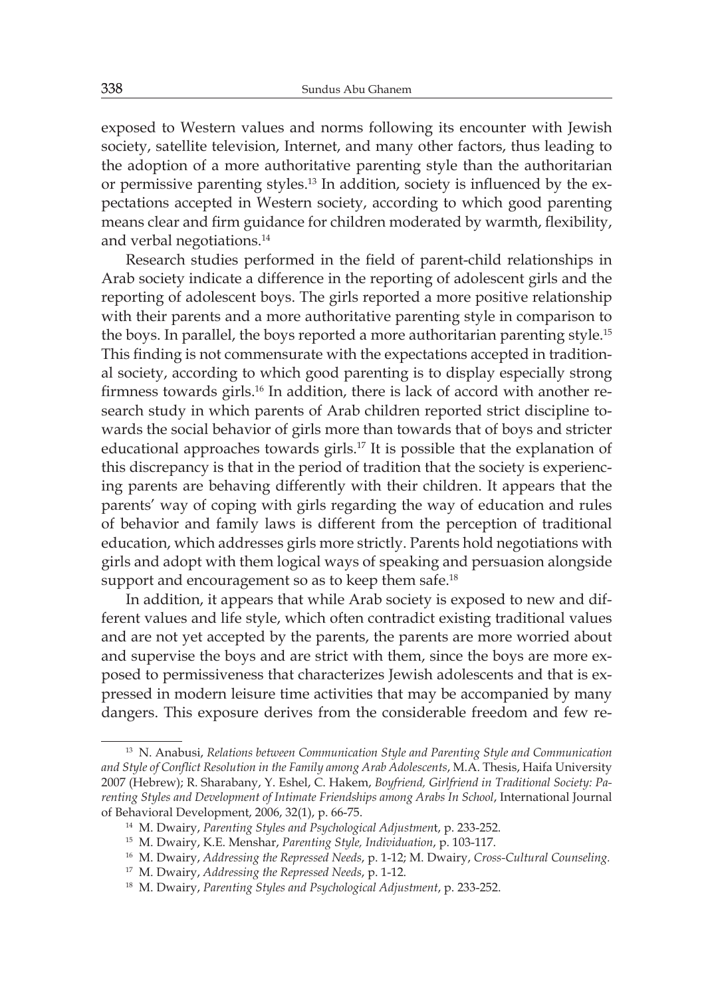exposed to Western values and norms following its encounter with Jewish society, satellite television, Internet, and many other factors, thus leading to the adoption of a more authoritative parenting style than the authoritarian or permissive parenting styles.13 In addition, society is influenced by the expectations accepted in Western society, according to which good parenting means clear and firm guidance for children moderated by warmth, flexibility, and verbal negotiations.<sup>14</sup>

Research studies performed in the field of parent-child relationships in Arab society indicate a difference in the reporting of adolescent girls and the reporting of adolescent boys. The girls reported a more positive relationship with their parents and a more authoritative parenting style in comparison to the boys. In parallel, the boys reported a more authoritarian parenting style.<sup>15</sup> This finding is not commensurate with the expectations accepted in traditional society, according to which good parenting is to display especially strong firmness towards girls.16 In addition, there is lack of accord with another research study in which parents of Arab children reported strict discipline towards the social behavior of girls more than towards that of boys and stricter educational approaches towards girls.<sup>17</sup> It is possible that the explanation of this discrepancy is that in the period of tradition that the society is experiencing parents are behaving differently with their children. It appears that the parents' way of coping with girls regarding the way of education and rules of behavior and family laws is different from the perception of traditional education, which addresses girls more strictly. Parents hold negotiations with girls and adopt with them logical ways of speaking and persuasion alongside support and encouragement so as to keep them safe.<sup>18</sup>

In addition, it appears that while Arab society is exposed to new and different values and life style, which often contradict existing traditional values and are not yet accepted by the parents, the parents are more worried about and supervise the boys and are strict with them, since the boys are more exposed to permissiveness that characterizes Jewish adolescents and that is expressed in modern leisure time activities that may be accompanied by many dangers. This exposure derives from the considerable freedom and few re-

<sup>13</sup> N. Anabusi, *Relations between Communication Style and Parenting Style and Communication and Style of Conflict Resolution in the Family among Arab Adolescents*, M.A. Thesis, Haifa University 2007 (Hebrew); R. Sharabany, Y. Eshel, C. Hakem, *Boyfriend, Girlfriend in Traditional Society: Parenting Styles and Development of Intimate Friendships among Arabs In School*, International Journal of Behavioral Development, 2006, 32(1), p. 66-75.

<sup>14</sup> M. Dwairy, *Parenting Styles and Psychological Adjustmen*t, p. 233-252.

<sup>15</sup> M. Dwairy, K.E. Menshar, *Parenting Style, Individuation*, p. 103-117.

<sup>16</sup> M. Dwairy, *Addressing the Repressed Needs*, p. 1-12; M. Dwairy, *Cross-Cultural Counseling.*

<sup>17</sup> M. Dwairy, *Addressing the Repressed Needs*, p. 1-12.

<sup>18</sup> M. Dwairy, *Parenting Styles and Psychological Adjustment*, p. 233-252.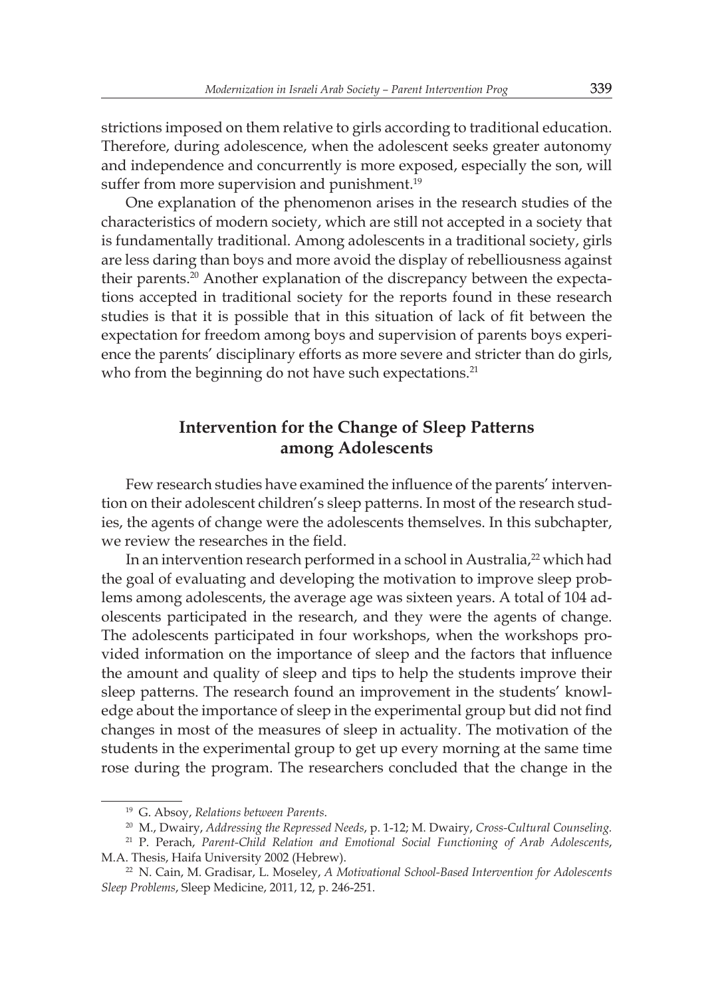strictions imposed on them relative to girls according to traditional education. Therefore, during adolescence, when the adolescent seeks greater autonomy and independence and concurrently is more exposed, especially the son, will suffer from more supervision and punishment.<sup>19</sup>

One explanation of the phenomenon arises in the research studies of the characteristics of modern society, which are still not accepted in a society that is fundamentally traditional. Among adolescents in a traditional society, girls are less daring than boys and more avoid the display of rebelliousness against their parents.<sup>20</sup> Another explanation of the discrepancy between the expectations accepted in traditional society for the reports found in these research studies is that it is possible that in this situation of lack of fit between the expectation for freedom among boys and supervision of parents boys experience the parents' disciplinary efforts as more severe and stricter than do girls, who from the beginning do not have such expectations.<sup>21</sup>

# **Intervention for the Change of Sleep Patterns among Adolescents**

Few research studies have examined the influence of the parents' intervention on their adolescent children's sleep patterns. In most of the research studies, the agents of change were the adolescents themselves. In this subchapter, we review the researches in the field.

In an intervention research performed in a school in Australia,<sup>22</sup> which had the goal of evaluating and developing the motivation to improve sleep problems among adolescents, the average age was sixteen years. A total of 104 adolescents participated in the research, and they were the agents of change. The adolescents participated in four workshops, when the workshops provided information on the importance of sleep and the factors that influence the amount and quality of sleep and tips to help the students improve their sleep patterns. The research found an improvement in the students' knowledge about the importance of sleep in the experimental group but did not find changes in most of the measures of sleep in actuality. The motivation of the students in the experimental group to get up every morning at the same time rose during the program. The researchers concluded that the change in the

<sup>19</sup> G. Absoy, *Relations between Parents*.

<sup>20</sup> M., Dwairy, *Addressing the Repressed Needs*, p. 1-12; M. Dwairy, *Cross-Cultural Counseling.*

<sup>21</sup> P. Perach, *Parent-Child Relation and Emotional Social Functioning of Arab Adolescents*, M.A. Thesis, Haifa University 2002 (Hebrew).

<sup>22</sup> N. Cain, M. Gradisar, L. Moseley, *A Motivational School-Based Intervention for Adolescents Sleep Problems*, Sleep Medicine, 2011, 12, p. 246-251.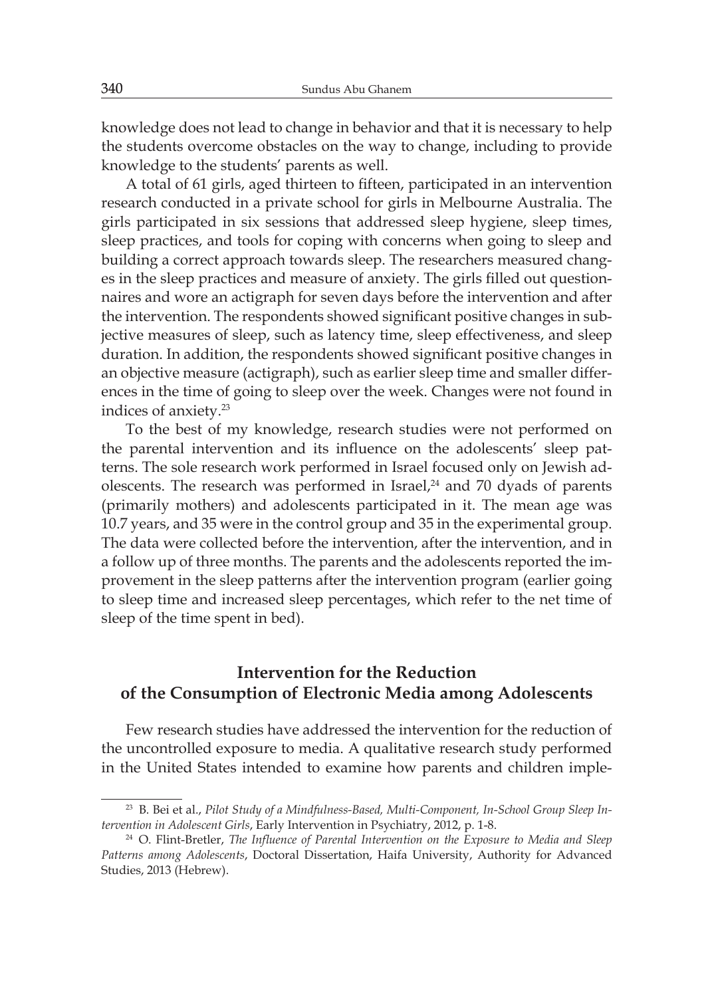knowledge does not lead to change in behavior and that it is necessary to help the students overcome obstacles on the way to change, including to provide knowledge to the students' parents as well.

A total of 61 girls, aged thirteen to fifteen, participated in an intervention research conducted in a private school for girls in Melbourne Australia. The girls participated in six sessions that addressed sleep hygiene, sleep times, sleep practices, and tools for coping with concerns when going to sleep and building a correct approach towards sleep. The researchers measured changes in the sleep practices and measure of anxiety. The girls filled out questionnaires and wore an actigraph for seven days before the intervention and after the intervention. The respondents showed significant positive changes in subjective measures of sleep, such as latency time, sleep effectiveness, and sleep duration. In addition, the respondents showed significant positive changes in an objective measure (actigraph), such as earlier sleep time and smaller differences in the time of going to sleep over the week. Changes were not found in indices of anxiety.<sup>23</sup>

To the best of my knowledge, research studies were not performed on the parental intervention and its influence on the adolescents' sleep patterns. The sole research work performed in Israel focused only on Jewish adolescents. The research was performed in Israel, $24$  and 70 dyads of parents (primarily mothers) and adolescents participated in it. The mean age was 10.7 years, and 35 were in the control group and 35 in the experimental group. The data were collected before the intervention, after the intervention, and in a follow up of three months. The parents and the adolescents reported the improvement in the sleep patterns after the intervention program (earlier going to sleep time and increased sleep percentages, which refer to the net time of sleep of the time spent in bed).

## **Intervention for the Reduction of the Consumption of Electronic Media among Adolescents**

Few research studies have addressed the intervention for the reduction of the uncontrolled exposure to media. A qualitative research study performed in the United States intended to examine how parents and children imple-

<sup>23</sup> B. Bei et al., *Pilot Study of a Mindfulness-Based, Multi-Component, In-School Group Sleep Intervention in Adolescent Girls*, Early Intervention in Psychiatry, 2012, p. 1-8.

<sup>&</sup>lt;sup>24</sup> O. Flint-Bretler, *The Influence of Parental Intervention on the Exposure to Media and Sleep Patterns among Adolescents*, Doctoral Dissertation, Haifa University, Authority for Advanced Studies, 2013 (Hebrew).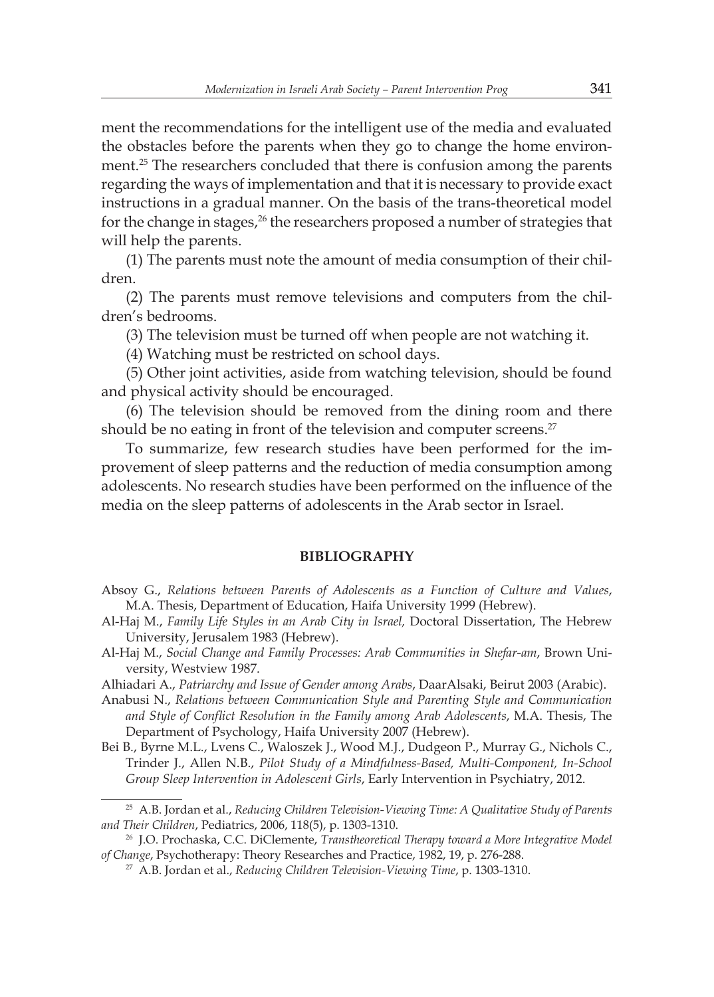ment the recommendations for the intelligent use of the media and evaluated the obstacles before the parents when they go to change the home environment.<sup>25</sup> The researchers concluded that there is confusion among the parents regarding the ways of implementation and that it is necessary to provide exact instructions in a gradual manner. On the basis of the trans-theoretical model for the change in stages, $26$  the researchers proposed a number of strategies that will help the parents.

(1) The parents must note the amount of media consumption of their children.

(2) The parents must remove televisions and computers from the children's bedrooms.

(3) The television must be turned off when people are not watching it.

(4) Watching must be restricted on school days.

(5) Other joint activities, aside from watching television, should be found and physical activity should be encouraged.

(6) The television should be removed from the dining room and there should be no eating in front of the television and computer screens.<sup>27</sup>

To summarize, few research studies have been performed for the improvement of sleep patterns and the reduction of media consumption among adolescents. No research studies have been performed on the influence of the media on the sleep patterns of adolescents in the Arab sector in Israel.

#### **BIBLIOGRAPHY**

- Absoy G., *Relations between Parents of Adolescents as a Function of Culture and Values*, M.A. Thesis, Department of Education, Haifa University 1999 (Hebrew).
- Al-Haj M., *Family Life Styles in an Arab City in Israel,* Doctoral Dissertation, The Hebrew University, Jerusalem 1983 (Hebrew).
- Al-Haj M., *Social Change and Family Processes: Arab Communities in Shefar-am*, Brown University, Westview 1987.
- Alhiadari A., *Patriarchy and Issue of Gender among Arabs*, DaarAlsaki, Beirut 2003 (Arabic).
- Anabusi N., *Relations between Communication Style and Parenting Style and Communication and Style of Conflict Resolution in the Family among Arab Adolescents*, M.A. Thesis, The Department of Psychology, Haifa University 2007 (Hebrew).
- Bei B., Byrne M.L., Lvens C., Waloszek J., Wood M.J., Dudgeon P., Murray G., Nichols C., Trinder J., Allen N.B., *Pilot Study of a Mindfulness-Based, Multi-Component, In-School Group Sleep Intervention in Adolescent Girls*, Early Intervention in Psychiatry, 2012.

<sup>25</sup> A.B. Jordan et al., *Reducing Children Television-Viewing Time: A Qualitative Study of Parents and Their Children*, Pediatrics, 2006, 118(5), p. 1303-1310.

<sup>26</sup> J.O. Prochaska, C.C. DiClemente, *Transtheoretical Therapy toward a More Integrative Model of Change*, Psychotherapy: Theory Researches and Practice, 1982, 19, p. 276-288.

<sup>27</sup> A.B. Jordan et al., *Reducing Children Television-Viewing Time*, p. 1303-1310.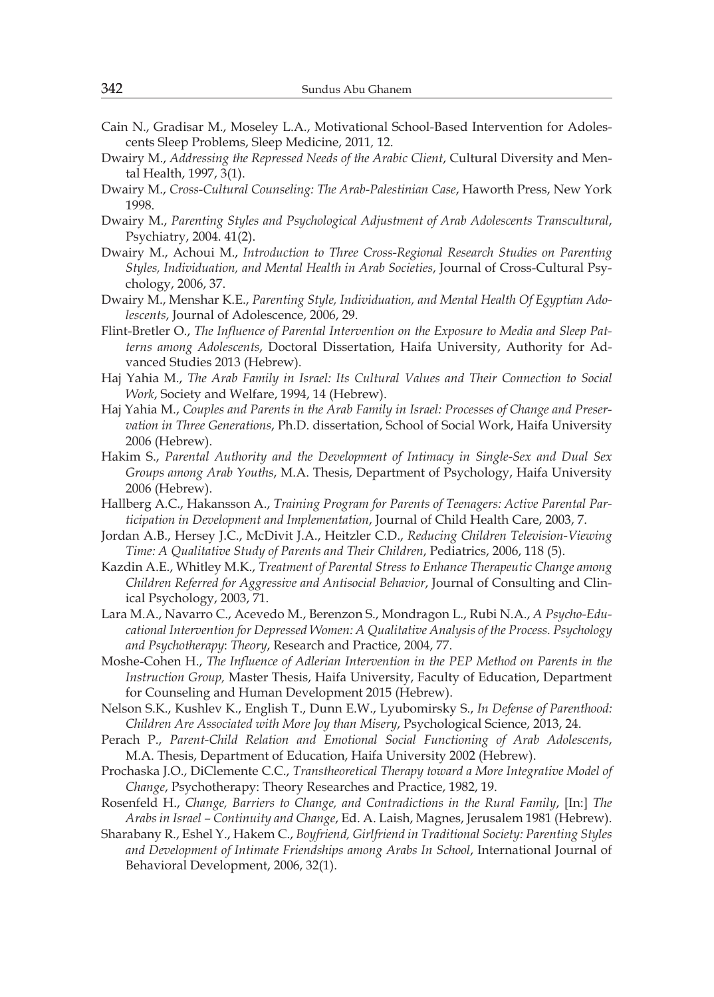- Cain N., Gradisar M., Moseley L.A., Motivational School-Based Intervention for Adolescents Sleep Problems, Sleep Medicine, 2011*,* 12.
- Dwairy M., *Addressing the Repressed Needs of the Arabic Client*, Cultural Diversity and Mental Health, 1997, 3(1).
- Dwairy M., *Cross-Cultural Counseling: The Arab-Palestinian Case*, Haworth Press, New York 1998.
- Dwairy M., *Parenting Styles and Psychological Adjustment of Arab Adolescents Transcultural*, Psychiatry, 2004. 41(2).
- Dwairy M., Achoui M., *Introduction to Three Cross-Regional Research Studies on Parenting Styles, Individuation, and Mental Health in Arab Societies*, Journal of Cross-Cultural Psychology, 2006, 37.
- Dwairy M., Menshar K.E., *Parenting Style, Individuation, and Mental Health Of Egyptian Adolescents*, Journal of Adolescence, 2006, 29.
- Flint-Bretler O., *The Influence of Parental Intervention on the Exposure to Media and Sleep Patterns among Adolescents*, Doctoral Dissertation, Haifa University, Authority for Advanced Studies 2013 (Hebrew).
- Haj Yahia M., *The Arab Family in Israel: Its Cultural Values and Their Connection to Social Work*, Society and Welfare, 1994, 14 (Hebrew).
- Haj Yahia M., *Couples and Parents in the Arab Family in Israel: Processes of Change and Preservation in Three Generations*, Ph.D. dissertation, School of Social Work, Haifa University 2006 (Hebrew).
- Hakim S., *Parental Authority and the Development of Intimacy in Single-Sex and Dual Sex Groups among Arab Youths*, M.A. Thesis, Department of Psychology, Haifa University 2006 (Hebrew).
- Hallberg A.C., Hakansson A., *Training Program for Parents of Teenagers: Active Parental Participation in Development and Implementation*, Journal of Child Health Care, 2003, 7.
- Jordan A.B., Hersey J.C., McDivit J.A., Heitzler C.D., *Reducing Children Television-Viewing Time: A Qualitative Study of Parents and Their Children*, Pediatrics, 2006, 118 (5).
- Kazdin A.E., Whitley M.K., *Treatment of Parental Stress to Enhance Therapeutic Change among Children Referred for Aggressive and Antisocial Behavior*, Journal of Consulting and Clinical Psychology, 2003, 71.
- Lara M.A., Navarro C., Acevedo M., Berenzon S., Mondragon L., Rubi N.A., *A Psycho-Educational Intervention for Depressed Women: A Qualitative Analysis of the Process. Psychology and Psychotherapy*: *Theory*, Research and Practice, 2004, 77.
- Moshe-Cohen H., *The Influence of Adlerian Intervention in the PEP Method on Parents in the Instruction Group,* Master Thesis, Haifa University, Faculty of Education, Department for Counseling and Human Development 2015 (Hebrew).
- Nelson S.K., Kushlev K., English T., Dunn E.W., Lyubomirsky S., *In Defense of Parenthood: Children Are Associated with More Joy than Misery*, Psychological Science, 2013, 24.
- Perach P., *Parent-Child Relation and Emotional Social Functioning of Arab Adolescents*, M.A. Thesis, Department of Education, Haifa University 2002 (Hebrew).
- Prochaska J.O., DiClemente C.C., *Transtheoretical Therapy toward a More Integrative Model of Change*, Psychotherapy: Theory Researches and Practice, 1982, 19.
- Rosenfeld H., *Change, Barriers to Change, and Contradictions in the Rural Family*, [In:] *The Arabs in Israel – Continuity and Change*, Ed. A. Laish, Magnes, Jerusalem 1981 (Hebrew).
- Sharabany R., Eshel Y., Hakem C., *Boyfriend, Girlfriend in Traditional Society: Parenting Styles and Development of Intimate Friendships among Arabs In School*, International Journal of Behavioral Development, 2006, 32(1).